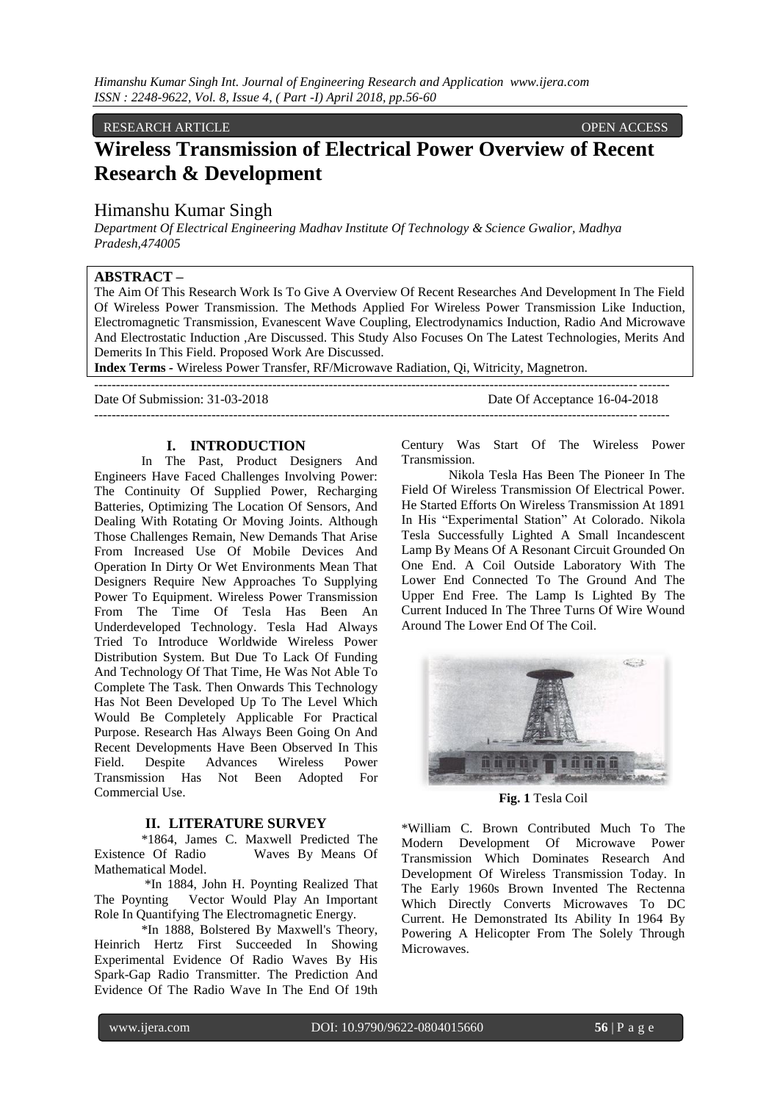## RESEARCH ARTICLE OPEN ACCESS

# **Wireless Transmission of Electrical Power Overview of Recent Research & Development**

# Himanshu Kumar Singh

*Department Of Electrical Engineering Madhav Institute Of Technology & Science Gwalior, Madhya Pradesh,474005*

### **ABSTRACT –**

The Aim Of This Research Work Is To Give A Overview Of Recent Researches And Development In The Field Of Wireless Power Transmission. The Methods Applied For Wireless Power Transmission Like Induction, Electromagnetic Transmission, Evanescent Wave Coupling, Electrodynamics Induction, Radio And Microwave And Electrostatic Induction ,Are Discussed. This Study Also Focuses On The Latest Technologies, Merits And Demerits In This Field. Proposed Work Are Discussed.

 $-++++++++++$ 

------------------------------------------------------------------------------------------------------------------------------------

**Index Terms** *-* Wireless Power Transfer, RF/Microwave Radiation, Qi, Witricity, Magnetron.

Date Of Submission: 31-03-2018 Date Of Acceptance 16-04-2018

# **I. INTRODUCTION**

In The Past, Product Designers And Engineers Have Faced Challenges Involving Power: The Continuity Of Supplied Power, Recharging Batteries, Optimizing The Location Of Sensors, And Dealing With Rotating Or Moving Joints. Although Those Challenges Remain, New Demands That Arise From Increased Use Of Mobile Devices And Operation In Dirty Or Wet Environments Mean That Designers Require New Approaches To Supplying Power To Equipment. Wireless Power Transmission From The Time Of Tesla Has Been An Underdeveloped Technology. Tesla Had Always Tried To Introduce Worldwide Wireless Power Distribution System. But Due To Lack Of Funding And Technology Of That Time, He Was Not Able To Complete The Task. Then Onwards This Technology Has Not Been Developed Up To The Level Which Would Be Completely Applicable For Practical Purpose. Research Has Always Been Going On And Recent Developments Have Been Observed In This Field. Despite Advances Wireless Power Transmission Has Not Been Adopted For Commercial Use.

# **II. LITERATURE SURVEY**

\*1864, James C. Maxwell Predicted The Waves By Means Of Mathematical Model.

\*In 1884, John H. Poynting Realized That The Poynting Vector Would Play An Important Role In Quantifying The Electromagnetic Energy.

\*In 1888, Bolstered By Maxwell's Theory, Heinrich Hertz First Succeeded In Showing Experimental Evidence Of Radio Waves By His Spark-Gap Radio Transmitter. The Prediction And Evidence Of The Radio Wave In The End Of 19th Century Was Start Of The Wireless Power Transmission.

Nikola Tesla Has Been The Pioneer In The Field Of Wireless Transmission Of Electrical Power. He Started Efforts On Wireless Transmission At 1891 In His "Experimental Station" At Colorado. Nikola Tesla Successfully Lighted A Small Incandescent Lamp By Means Of A Resonant Circuit Grounded On One End. A Coil Outside Laboratory With The Lower End Connected To The Ground And The Upper End Free. The Lamp Is Lighted By The Current Induced In The Three Turns Of Wire Wound Around The Lower End Of The Coil.



**Fig. 1** Tesla Coil

\*William C. Brown Contributed Much To The Modern Development Of Microwave Power Transmission Which Dominates Research And Development Of Wireless Transmission Today. In The Early 1960s Brown Invented The Rectenna Which Directly Converts Microwaves To DC Current. He Demonstrated Its Ability In 1964 By Powering A Helicopter From The Solely Through Microwaves.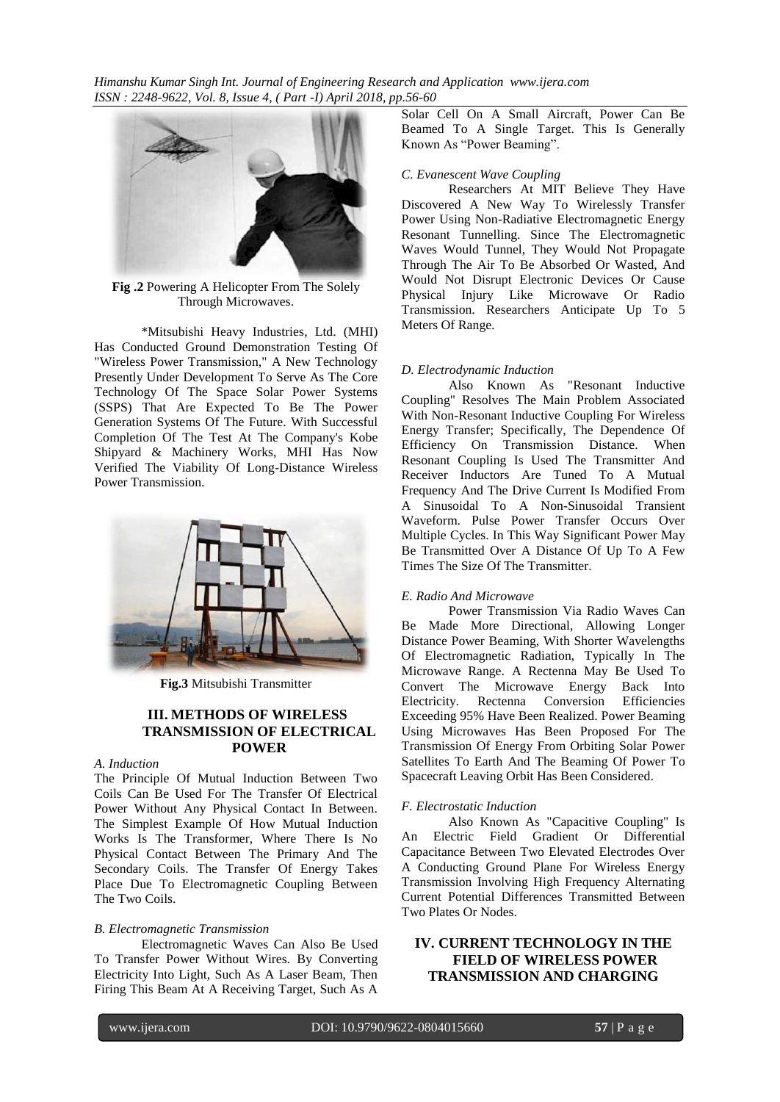*Himanshu Kumar Singh Int. Journal of Engineering Research and Application www.ijera.com ISSN : 2248-9622, Vol. 8, Issue 4, ( Part -I) April 2018, pp.56-60*



**Fig .2** Powering A Helicopter From The Solely Through Microwaves.

\*Mitsubishi Heavy Industries, Ltd. (MHI) Has Conducted Ground Demonstration Testing Of "Wireless Power Transmission," A New Technology Presently Under Development To Serve As The Core Technology Of The Space Solar Power Systems (SSPS) That Are Expected To Be The Power Generation Systems Of The Future. With Successful Completion Of The Test At The Company's Kobe Shipyard & Machinery Works, MHI Has Now Verified The Viability Of Long-Distance Wireless Power Transmission.



**Fig.3** Mitsubishi Transmitter

### **III. METHODS OF WIRELESS TRANSMISSION OF ELECTRICAL POWER**

### *A. Induction*

The Principle Of Mutual Induction Between Two Coils Can Be Used For The Transfer Of Electrical Power Without Any Physical Contact In Between. The Simplest Example Of How Mutual Induction Works Is The Transformer, Where There Is No Physical Contact Between The Primary And The Secondary Coils. The Transfer Of Energy Takes Place Due To Electromagnetic Coupling Between The Two Coils.

#### *B. Electromagnetic Transmission*

Electromagnetic Waves Can Also Be Used To Transfer Power Without Wires. By Converting Electricity Into Light, Such As A Laser Beam, Then Firing This Beam At A Receiving Target, Such As A

Solar Cell On A Small Aircraft, Power Can Be Beamed To A Single Target. This Is Generally Known As "Power Beaming".

#### *C. Evanescent Wave Coupling*

Researchers At MIT Believe They Have Discovered A New Way To Wirelessly Transfer Power Using Non-Radiative Electromagnetic Energy Resonant Tunnelling. Since The Electromagnetic Waves Would Tunnel, They Would Not Propagate Through The Air To Be Absorbed Or Wasted, And Would Not Disrupt Electronic Devices Or Cause Physical Injury Like Microwave Or Radio Transmission. Researchers Anticipate Up To 5 Meters Of Range.

#### *D. Electrodynamic Induction*

Also Known As "Resonant Inductive Coupling" Resolves The Main Problem Associated With Non-Resonant Inductive Coupling For Wireless Energy Transfer; Specifically, The Dependence Of Efficiency On Transmission Distance. When Resonant Coupling Is Used The Transmitter And Receiver Inductors Are Tuned To A Mutual Frequency And The Drive Current Is Modified From A Sinusoidal To A Non-Sinusoidal Transient Waveform. Pulse Power Transfer Occurs Over Multiple Cycles. In This Way Significant Power May Be Transmitted Over A Distance Of Up To A Few Times The Size Of The Transmitter.

### *E. Radio And Microwave*

Power Transmission Via Radio Waves Can Be Made More Directional, Allowing Longer Distance Power Beaming, With Shorter Wavelengths Of Electromagnetic Radiation, Typically In The Microwave Range. A Rectenna May Be Used To Convert The Microwave Energy Back Into Electricity. Rectenna Conversion Efficiencies Exceeding 95% Have Been Realized. Power Beaming Using Microwaves Has Been Proposed For The Transmission Of Energy From Orbiting Solar Power Satellites To Earth And The Beaming Of Power To Spacecraft Leaving Orbit Has Been Considered.

#### *F. Electrostatic Induction*

Also Known As "Capacitive Coupling" Is An Electric Field Gradient Or Differential Capacitance Between Two Elevated Electrodes Over A Conducting Ground Plane For Wireless Energy Transmission Involving High Frequency Alternating Current Potential Differences Transmitted Between Two Plates Or Nodes.

# **IV. CURRENT TECHNOLOGY IN THE FIELD OF WIRELESS POWER TRANSMISSION AND CHARGING**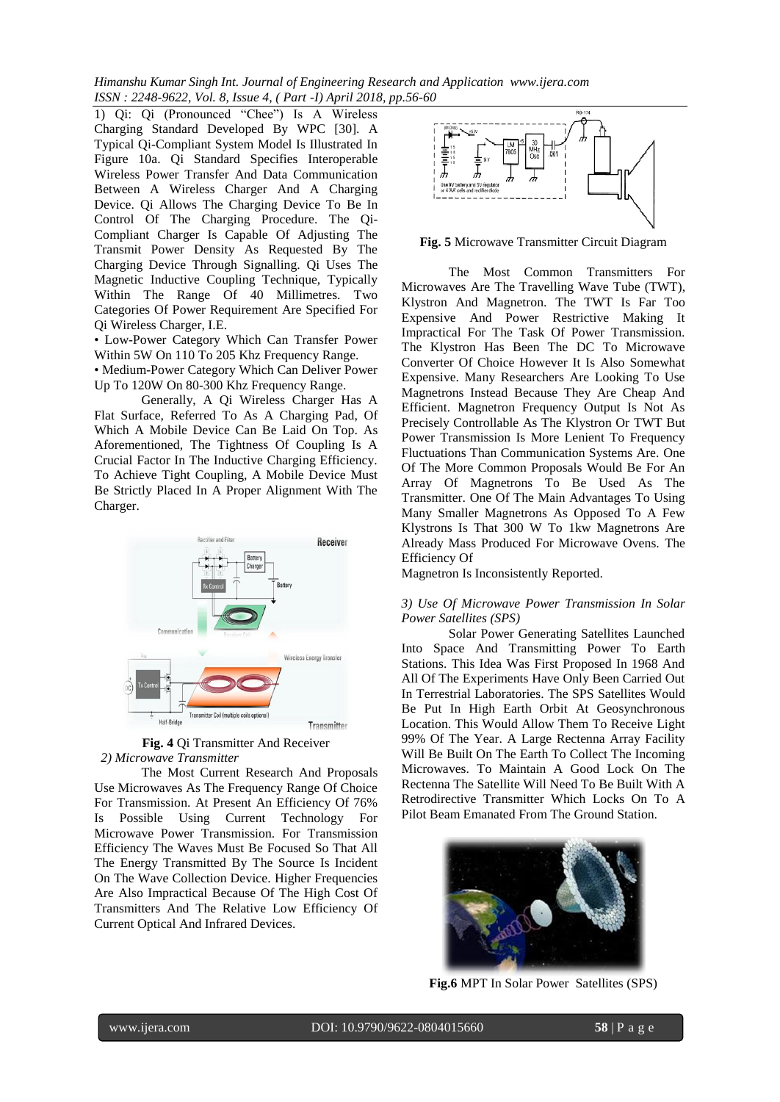*Himanshu Kumar Singh Int. Journal of Engineering Research and Application www.ijera.com ISSN : 2248-9622, Vol. 8, Issue 4, ( Part -I) April 2018, pp.56-60*

1) Qi: Qi (Pronounced "Chee") Is A Wireless Charging Standard Developed By WPC [30]. A Typical Qi-Compliant System Model Is Illustrated In Figure 10a. Qi Standard Specifies Interoperable Wireless Power Transfer And Data Communication Between A Wireless Charger And A Charging Device. Qi Allows The Charging Device To Be In Control Of The Charging Procedure. The Qi-Compliant Charger Is Capable Of Adjusting The Transmit Power Density As Requested By The Charging Device Through Signalling. Qi Uses The Magnetic Inductive Coupling Technique, Typically Within The Range Of 40 Millimetres. Two Categories Of Power Requirement Are Specified For Qi Wireless Charger, I.E.

• Low-Power Category Which Can Transfer Power Within 5W On 110 To 205 Khz Frequency Range.

• Medium-Power Category Which Can Deliver Power Up To 120W On 80-300 Khz Frequency Range.

Generally, A Qi Wireless Charger Has A Flat Surface, Referred To As A Charging Pad, Of Which A Mobile Device Can Be Laid On Top. As Aforementioned, The Tightness Of Coupling Is A Crucial Factor In The Inductive Charging Efficiency. To Achieve Tight Coupling, A Mobile Device Must Be Strictly Placed In A Proper Alignment With The Charger.



**Fig. 4** Qi Transmitter And Receiver  *2) Microwave Transmitter*

The Most Current Research And Proposals Use Microwaves As The Frequency Range Of Choice For Transmission. At Present An Efficiency Of 76% Is Possible Using Current Technology For Microwave Power Transmission. For Transmission Efficiency The Waves Must Be Focused So That All The Energy Transmitted By The Source Is Incident On The Wave Collection Device. Higher Frequencies Are Also Impractical Because Of The High Cost Of Transmitters And The Relative Low Efficiency Of Current Optical And Infrared Devices.



**Fig. 5** Microwave Transmitter Circuit Diagram

The Most Common Transmitters For Microwaves Are The Travelling Wave Tube (TWT), Klystron And Magnetron. The TWT Is Far Too Expensive And Power Restrictive Making It Impractical For The Task Of Power Transmission. The Klystron Has Been The DC To Microwave Converter Of Choice However It Is Also Somewhat Expensive. Many Researchers Are Looking To Use Magnetrons Instead Because They Are Cheap And Efficient. Magnetron Frequency Output Is Not As Precisely Controllable As The Klystron Or TWT But Power Transmission Is More Lenient To Frequency Fluctuations Than Communication Systems Are. One Of The More Common Proposals Would Be For An Array Of Magnetrons To Be Used As The Transmitter. One Of The Main Advantages To Using Many Smaller Magnetrons As Opposed To A Few Klystrons Is That 300 W To 1kw Magnetrons Are Already Mass Produced For Microwave Ovens. The Efficiency Of

Magnetron Is Inconsistently Reported.

### *3) Use Of Microwave Power Transmission In Solar Power Satellites (SPS)*

Solar Power Generating Satellites Launched Into Space And Transmitting Power To Earth Stations. This Idea Was First Proposed In 1968 And All Of The Experiments Have Only Been Carried Out In Terrestrial Laboratories. The SPS Satellites Would Be Put In High Earth Orbit At Geosynchronous Location. This Would Allow Them To Receive Light 99% Of The Year. A Large Rectenna Array Facility Will Be Built On The Earth To Collect The Incoming Microwaves. To Maintain A Good Lock On The Rectenna The Satellite Will Need To Be Built With A Retrodirective Transmitter Which Locks On To A Pilot Beam Emanated From The Ground Station.



**Fig.6** MPT In Solar Power Satellites (SPS)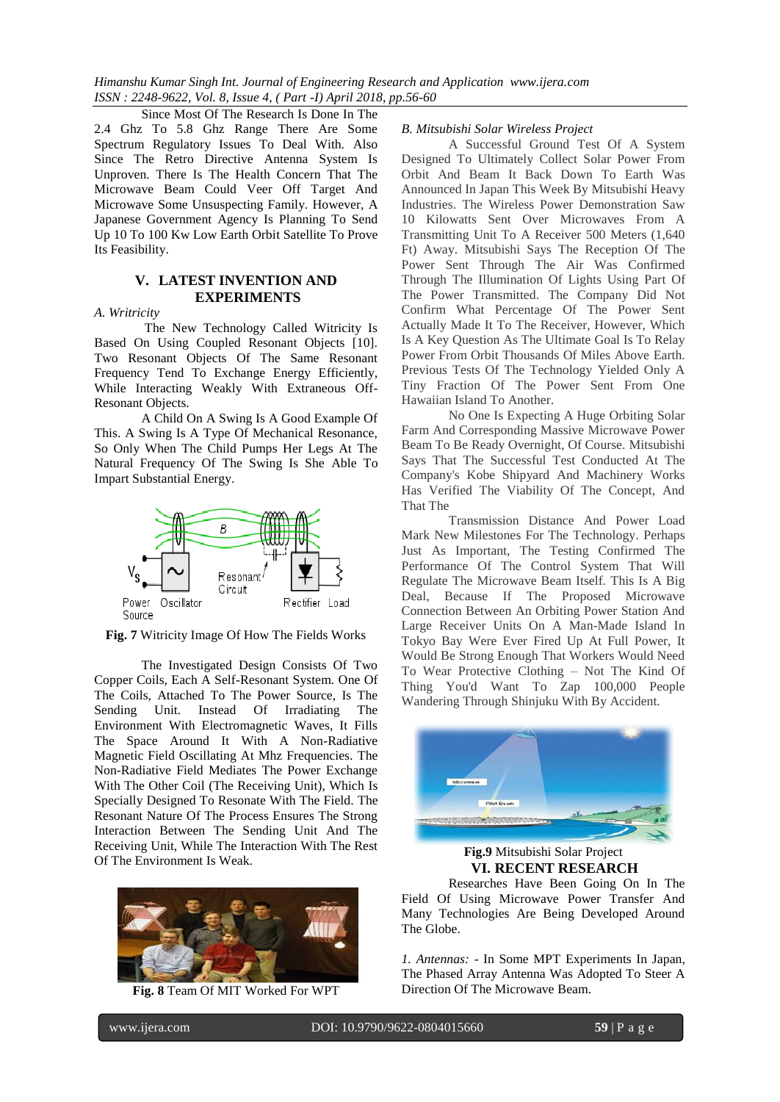Since Most Of The Research Is Done In The 2.4 Ghz To 5.8 Ghz Range There Are Some Spectrum Regulatory Issues To Deal With. Also Since The Retro Directive Antenna System Is Unproven. There Is The Health Concern That The Microwave Beam Could Veer Off Target And Microwave Some Unsuspecting Family. However, A Japanese Government Agency Is Planning To Send Up 10 To 100 Kw Low Earth Orbit Satellite To Prove Its Feasibility.

## **V. LATEST INVENTION AND EXPERIMENTS**

#### *A. Writricity*

The New Technology Called Witricity Is Based On Using Coupled Resonant Objects [10]. Two Resonant Objects Of The Same Resonant Frequency Tend To Exchange Energy Efficiently, While Interacting Weakly With Extraneous Off-Resonant Objects.

A Child On A Swing Is A Good Example Of This. A Swing Is A Type Of Mechanical Resonance, So Only When The Child Pumps Her Legs At The Natural Frequency Of The Swing Is She Able To Impart Substantial Energy.



**Fig. 7** Witricity Image Of How The Fields Works

The Investigated Design Consists Of Two Copper Coils, Each A Self-Resonant System. One Of The Coils, Attached To The Power Source, Is The Sending Unit. Instead Of Irradiating The Environment With Electromagnetic Waves, It Fills The Space Around It With A Non-Radiative Magnetic Field Oscillating At Mhz Frequencies. The Non-Radiative Field Mediates The Power Exchange With The Other Coil (The Receiving Unit), Which Is Specially Designed To Resonate With The Field. The Resonant Nature Of The Process Ensures The Strong Interaction Between The Sending Unit And The Receiving Unit, While The Interaction With The Rest Of The Environment Is Weak.



**Fig. 8** Team Of MIT Worked For WPT

### *B. Mitsubishi Solar Wireless Project*

A Successful Ground Test Of A System Designed To Ultimately Collect Solar Power From Orbit And Beam It Back Down To Earth Was Announced In Japan This Week By Mitsubishi Heavy Industries. The Wireless Power Demonstration Saw 10 Kilowatts Sent Over Microwaves From A Transmitting Unit To A Receiver 500 Meters (1,640 Ft) Away. Mitsubishi Says The Reception Of The Power Sent Through The Air Was Confirmed Through The Illumination Of Lights Using Part Of The Power Transmitted. The Company Did Not Confirm What Percentage Of The Power Sent Actually Made It To The Receiver, However, Which Is A Key Question As The Ultimate Goal Is To Relay Power From Orbit Thousands Of Miles Above Earth. Previous Tests Of The Technology Yielded Only A Tiny Fraction Of The Power Sent From One Hawaiian Island To Another.

No One Is Expecting A Huge Orbiting Solar Farm And Corresponding Massive Microwave Power Beam To Be Ready Overnight, Of Course. Mitsubishi Says That The Successful Test Conducted At The Company's Kobe Shipyard And Machinery Works Has Verified The Viability Of The Concept, And That The

Transmission Distance And Power Load Mark New Milestones For The Technology. Perhaps Just As Important, The Testing Confirmed The Performance Of The Control System That Will Regulate The Microwave Beam Itself. This Is A Big Deal, Because If The Proposed Microwave Connection Between An Orbiting Power Station And Large Receiver Units On A Man-Made Island In Tokyo Bay Were Ever Fired Up At Full Power, It Would Be Strong Enough That Workers Would Need To Wear Protective Clothing – Not The Kind Of Thing You'd Want To Zap 100,000 People Wandering Through Shinjuku With By Accident.



**Fig.9** Mitsubishi Solar Project **VI. RECENT RESEARCH** Researches Have Been Going On In The

Field Of Using Microwave Power Transfer And Many Technologies Are Being Developed Around The Globe.

*1. Antennas:* - In Some MPT Experiments In Japan, The Phased Array Antenna Was Adopted To Steer A Direction Of The Microwave Beam.